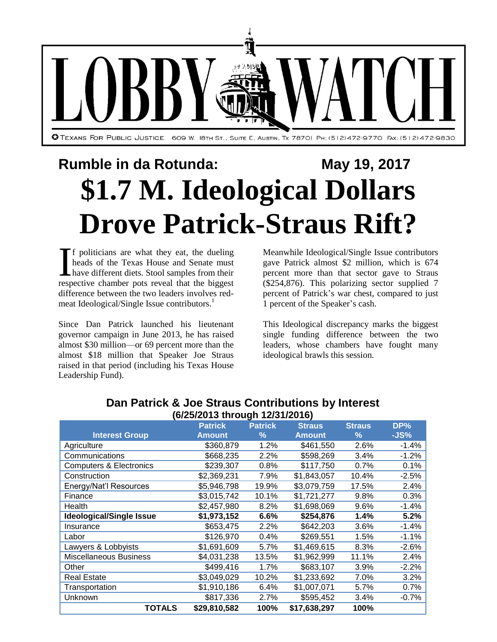

## **Rumble in da Rotunda:** May 19, 2017 **\$1.7 M. Ideological Dollars Drove Patrick-Straus Rift?**

f politicians are what they eat, the dueling heads of the Texas House and Senate must have different diets. Stool samples from their If politicians are what they eat, the dueling<br>heads of the Texas House and Senate must<br>have different diets. Stool samples from their<br>respective chamber pots reveal that the biggest difference between the two leaders involves redmeat Ideological/Single Issue contributors.<sup>1</sup>

Since Dan Patrick launched his lieutenant governor campaign in June 2013, he has raised almost \$30 million—or 69 percent more than the almost \$18 million that Speaker Joe Straus raised in that period (including his Texas House Leadership Fund).

Meanwhile Ideological/Single Issue contributors gave Patrick almost \$2 million, which is 674 percent more than that sector gave to Straus (\$254,876). This polarizing sector supplied 7 percent of Patrick's war chest, compared to just 1 percent of the Speaker's cash.

This Ideological discrepancy marks the biggest single funding difference between the two leaders, whose chambers have fought many ideological brawls this session.

| (6/25/2013 through 12/31/2016)     |                |                |               |               |         |  |  |  |
|------------------------------------|----------------|----------------|---------------|---------------|---------|--|--|--|
|                                    | <b>Patrick</b> | <b>Patrick</b> | <b>Straus</b> | <b>Straus</b> | DP%     |  |  |  |
| <b>Interest Group</b>              | <b>Amount</b>  | $\%$           | <b>Amount</b> | %             | $-JS%$  |  |  |  |
| Agriculture                        | \$360,879      | 1.2%           | \$461,550     | 2.6%          | $-1.4%$ |  |  |  |
| Communications                     | \$668,235      | 2.2%           | \$598,269     | 3.4%          | $-1.2%$ |  |  |  |
| <b>Computers &amp; Electronics</b> | \$239,307      | 0.8%           | \$117,750     | 0.7%          | 0.1%    |  |  |  |
| Construction                       | \$2,369,231    | 7.9%           | \$1,843,057   | 10.4%         | $-2.5%$ |  |  |  |
| Energy/Nat'l Resources             | \$5,946,798    | 19.9%          | \$3,079,759   | 17.5%         | 2.4%    |  |  |  |
| Finance                            | \$3,015,742    | 10.1%          | \$1,721,277   | 9.8%          | 0.3%    |  |  |  |
| Health                             | \$2,457,980    | 8.2%           | \$1,698,069   | 9.6%          | $-1.4%$ |  |  |  |
| <b>Ideological/Single Issue</b>    | \$1,973,152    | 6.6%           | \$254,876     | 1.4%          | 5.2%    |  |  |  |
| Insurance                          | \$653,475      | 2.2%           | \$642,203     | 3.6%          | $-1.4%$ |  |  |  |
| Labor                              | \$126,970      | 0.4%           | \$269,551     | 1.5%          | $-1.1%$ |  |  |  |
| Lawyers & Lobbyists                | \$1,691,609    | 5.7%           | \$1,469,615   | 8.3%          | $-2.6%$ |  |  |  |
| <b>Miscellaneous Business</b>      | \$4,031,238    | 13.5%          | \$1,962,999   | 11.1%         | 2.4%    |  |  |  |
| Other                              | \$499,416      | 1.7%           | \$683,107     | 3.9%          | $-2.2%$ |  |  |  |
| <b>Real Estate</b>                 | \$3,049,029    | 10.2%          | \$1,233,692   | 7.0%          | 3.2%    |  |  |  |
| Transportation                     | \$1,910,186    | 6.4%           | \$1,007,071   | 5.7%          | 0.7%    |  |  |  |
| Unknown                            | \$817,336      | 2.7%           | \$595,452     | 3.4%          | $-0.7%$ |  |  |  |
| TOTALS                             | \$29,810,582   | 100%           | \$17,638,297  | 100%          |         |  |  |  |

## **Dan Patrick & Joe Straus Contributions by Interest**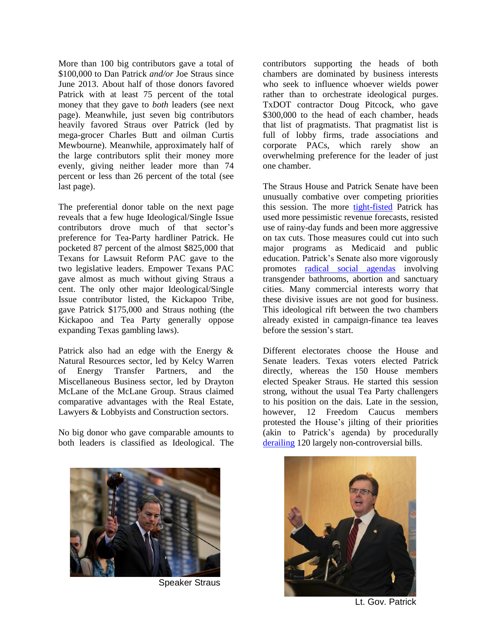More than 100 big contributors gave a total of \$100,000 to Dan Patrick *and/or* Joe Straus since June 2013. About half of those donors favored Patrick with at least 75 percent of the total money that they gave to *both* leaders (see next page). Meanwhile, just seven big contributors heavily favored Straus over Patrick (led by mega-grocer Charles Butt and oilman Curtis Mewbourne). Meanwhile, approximately half of the large contributors split their money more evenly, giving neither leader more than 74 percent or less than 26 percent of the total (see last page).

The preferential donor table on the next page reveals that a few huge Ideological/Single Issue contributors drove much of that sector's preference for Tea-Party hardliner Patrick. He pocketed 87 percent of the almost \$825,000 that Texans for Lawsuit Reform PAC gave to the two legislative leaders. Empower Texans PAC gave almost as much without giving Straus a cent. The only other major Ideological/Single Issue contributor listed, the Kickapoo Tribe, gave Patrick \$175,000 and Straus nothing (the Kickapoo and Tea Party generally oppose expanding Texas gambling laws).

Patrick also had an edge with the Energy & Natural Resources sector, led by Kelcy Warren of Energy Transfer Partners, and the Miscellaneous Business sector, led by Drayton McLane of the McLane Group. Straus claimed comparative advantages with the Real Estate, Lawyers & Lobbyists and Construction sectors.

No big donor who gave comparable amounts to both leaders is classified as Ideological. The



The Straus House and Patrick Senate have been unusually combative over competing priorities this session. The more [tight-fisted](http://www.mystatesman.com/news/state--regional-govt--politics/legislative-session-heats-rift-deepens-between-straus-patrick/3Qf8EPBxjRLMSGSn29pLnK/) Patrick has used more pessimistic revenue forecasts, resisted use of rainy-day funds and been more aggressive on tax cuts. Those measures could cut into such major programs as Medicaid and public education. Patrick's Senate also more vigorously promotes [radical social agendas](http://www.houstonchronicle.com/news/houston-texas/houston/article/Texas-Big-3-leaders-hope-to-avoid-a-tragic-11142867.php?t=cd59a6a5d6438d9cbb&cmpid=twitter-premium) involving transgender bathrooms, abortion and sanctuary cities. Many commercial interests worry that these divisive issues are not good for business. This ideological rift between the two chambers already existed in campaign-finance tea leaves before the session's start.

Different electorates choose the House and Senate leaders. Texas voters elected Patrick directly, whereas the 150 House members elected Speaker Straus. He started this session strong, without the usual Tea Party challengers to his position on the dais. Late in the session, however, 12 Freedom Caucus members protested the House's jilting of their priorities (akin to Patrick's agenda) by procedurally [derailing](http://www.houstonchronicle.com/news/houston-texas/houston/article/Discord-imperils-bills-hint-at-special-session-11142928.php?t=282ab8f98d438d9cbb&cmpid=twitter-premium) 120 largely non-controversial bills.



Speaker Straus



Lt. Gov. Patrick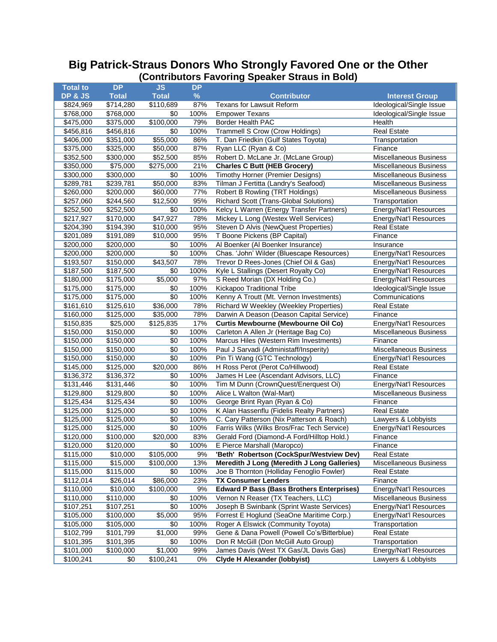## **Big Patrick-Straus Donors Who Strongly Favored One or the Other (Contributors Favoring Speaker Straus in Bold)**

| <b>Total to</b> | <b>DP</b>    | <b>JS</b>             | <b>DP</b> |                                                  |                               |
|-----------------|--------------|-----------------------|-----------|--------------------------------------------------|-------------------------------|
| DP & JS         | <b>Total</b> | <b>Total</b>          | $\%$      | <b>Contributor</b>                               | <b>Interest Group</b>         |
| \$824,969       | \$714,280    | $\overline{$}110,689$ | 87%       | <b>Texans for Lawsuit Reform</b>                 | Ideological/Single Issue      |
| \$768,000       | \$768,000    | \$0                   | 100%      | <b>Empower Texans</b>                            | Ideological/Single Issue      |
| \$475,000       | \$375,000    | \$100,000             | 79%       | Border Health PAC                                | Health                        |
| \$456,816       | \$456,816    | \$0                   | 100%      | <b>Trammell S Crow (Crow Holdings)</b>           | <b>Real Estate</b>            |
| \$406,000       | \$351,000    | \$55,000              | 86%       | T. Dan Friedkin (Gulf States Toyota)             | Transportation                |
| \$375,000       | \$325,000    | \$50,000              | 87%       | Ryan LLC (Ryan & Co)                             | Finance                       |
| \$352,500       | \$300,000    | \$52,500              | 85%       | Robert D. McLane Jr. (McLane Group)              | Miscellaneous Business        |
| \$350,000       | \$75,000     | \$275,000             | 21%       | <b>Charles C Butt (HEB Grocery)</b>              | Miscellaneous Business        |
| \$300,000       | \$300,000    | \$0                   | 100%      | Timothy Horner (Premier Designs)                 | Miscellaneous Business        |
|                 |              |                       |           | Tilman J Fertitta (Landry's Seafood)             |                               |
| \$289,781       | \$239,781    | \$50,000              | 83%       |                                                  | <b>Miscellaneous Business</b> |
| \$260,000       | \$200,000    | \$60,000              | 77%       | Robert B Rowling (TRT Holdings)                  | <b>Miscellaneous Business</b> |
| \$257,060       | \$244,560    | \$12,500              | 95%       | Richard Scott (Trans-Global Solutions)           | Transportation                |
| \$252,500       | \$252,500    | \$0                   | 100%      | Kelcy L Warren (Energy Transfer Partners)        | Energy/Nat'l Resources        |
| \$217,927       | \$170,000    | \$47,927              | 78%       | Mickey L Long (Westex Well Services)             | Energy/Nat'l Resources        |
| \$204,390       | \$194,390    | \$10,000              | 95%       | Steven D Alvis (NewQuest Properties)             | <b>Real Estate</b>            |
| \$201,089       | \$191,089    | \$10,000              | 95%       | T Boone Pickens (BP Capital)                     | Finance                       |
| \$200,000       | \$200,000    | \$0                   | 100%      | Al Boenker (Al Boenker Insurance)                | Insurance                     |
| \$200,000       | \$200,000    | \$0                   | 100%      | Chas. 'John' Wilder (Bluescape Resources)        | Energy/Nat'l Resources        |
| \$193,507       | \$150,000    | \$43,507              | 78%       | Trevor D Rees-Jones (Chief Oil & Gas)            | <b>Energy/Nat'l Resources</b> |
| \$187,500       | \$187,500    | \$0                   | 100%      | Kyle L Stallings (Desert Royalty Co)             | Energy/Nat'l Resources        |
| \$180,000       | \$175,000    | \$5,000               | 97%       | S Reed Morian (DX Holding Co.)                   | Energy/Nat'l Resources        |
| \$175,000       | \$175,000    | \$0                   | 100%      | Kickapoo Traditional Tribe                       | Ideological/Single Issue      |
| \$175,000       | \$175,000    | \$0                   | 100%      | Kenny A Troutt (Mt. Vernon Investments)          | Communications                |
| \$161,610       | \$125,610    | \$36,000              | 78%       | <b>Richard W Weekley (Weekley Properties)</b>    | <b>Real Estate</b>            |
| \$160,000       | \$125,000    | \$35,000              | 78%       | Darwin A Deason (Deason Capital Service)         | Finance                       |
| \$150,835       | \$25,000     | \$125,835             | 17%       | <b>Curtis Mewbourne (Mewbourne Oil Co)</b>       | Energy/Nat'l Resources        |
| \$150,000       | \$150,000    | \$0                   | 100%      | Carleton A Allen Jr (Heritage Bag Co)            | Miscellaneous Business        |
| \$150,000       | \$150,000    | \$0                   | 100%      | Marcus Hiles (Western Rim Investments)           | Finance                       |
| \$150,000       | \$150,000    | \$0                   | 100%      | Paul J Sarvadi (Administaff/Insperity)           | Miscellaneous Business        |
| \$150,000       | \$150,000    | \$0                   | 100%      | Pin Ti Wang (GTC Technology)                     | Energy/Nat'l Resources        |
| \$145,000       | \$125,000    | \$20,000              | 86%       | H Ross Perot (Perot Co/Hillwood)                 | <b>Real Estate</b>            |
| \$136,372       | \$136,372    | \$0                   | 100%      | James H Lee (Ascendant Advisors, LLC)            | Finance                       |
| \$131,446       | \$131,446    | \$0                   | 100%      | Tim M Dunn (CrownQuest/Enerquest Oi)             | Energy/Nat'l Resources        |
| \$129,800       | \$129,800    | \$0                   | 100%      | Alice L Walton (Wal-Mart)                        | Miscellaneous Business        |
| \$125,434       | \$125,434    | $\overline{50}$       | 100%      | George Brint Ryan (Ryan & Co)                    | Finance                       |
| \$125,000       | \$125,000    | \$0                   | 100%      | K Alan Hassenflu (Fidelis Realty Partners)       | <b>Real Estate</b>            |
| \$125,000       | \$125,000    | \$0                   | 100%      | C. Cary Patterson (Nix Patterson & Roach)        | Lawyers & Lobbyists           |
| \$125,000       | \$125,000    | \$0                   | 100%      | Farris Wilks (Wilks Bros/Frac Tech Service)      | Energy/Nat'l Resources        |
| \$120,000       | \$100,000    | \$20,000              | 83%       | Gerald Ford (Diamond-A Ford/Hilltop Hold.)       | Finance                       |
| \$120,000       | \$120,000    | \$0                   | 100%      | E Pierce Marshall (Maropco)                      | Finance                       |
| \$115,000       | \$10,000     | \$105,000             | 9%        | 'Beth' Robertson (CockSpur/Westview Dev)         | <b>Real Estate</b>            |
| \$115,000       | \$15,000     | \$100,000             | 13%       | Meredith J Long (Meredith J Long Galleries)      | Miscellaneous Business        |
| \$115,000       | \$115,000    | \$0                   | 100%      | Joe B Thornton (Holliday Fenoglio Fowler)        | <b>Real Estate</b>            |
| \$112,014       | \$26,014     | \$86,000              | 23%       | <b>TX Consumer Lenders</b>                       | Finance                       |
| \$110,000       | \$10,000     | \$100,000             | 9%        | <b>Edward P Bass (Bass Brothers Enterprises)</b> | Energy/Nat'l Resources        |
| \$110,000       | \$110,000    | \$0                   | 100%      | Vernon N Reaser (TX Teachers, LLC)               | Miscellaneous Business        |
| \$107,251       | \$107,251    | \$0                   | 100%      | Joseph B Swinbank (Sprint Waste Services)        | Energy/Nat'l Resources        |
| \$105,000       | \$100,000    | \$5,000               | 95%       | Forrest E Hoglund (SeaOne Maritime Corp.)        | Energy/Nat'l Resources        |
| \$105,000       | \$105,000    | \$0                   | 100%      | Roger A Elswick (Community Toyota)               | Transportation                |
| \$102,799       | \$101,799    | \$1,000               | 99%       | Gene & Dana Powell (Powell Co's/Bitterblue)      | <b>Real Estate</b>            |
| \$101,395       | \$101,395    | \$0                   | 100%      | Don R McGill (Don McGill Auto Group)             | Transportation                |
| \$101,000       | \$100,000    | \$1,000               | 99%       | James Davis (West TX Gas/JL Davis Gas)           | Energy/Nat'l Resources        |
| \$100,241       | \$0          | \$100,241             | 0%        | <b>Clyde H Alexander (lobbyist)</b>              | Lawyers & Lobbyists           |
|                 |              |                       |           |                                                  |                               |